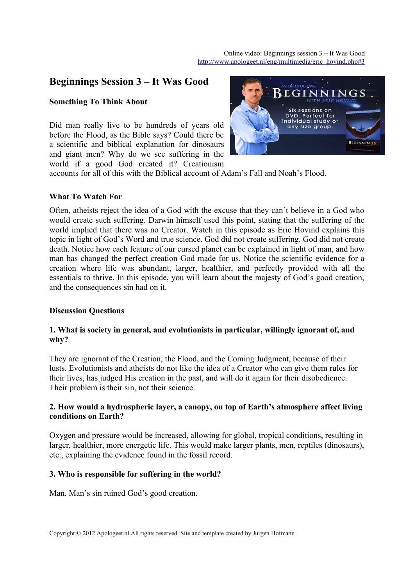# **Beginnings Session 3 – It Was Good**

## **Something To Think About**

Did man really live to be hundreds of years old before the Flood, as the Bible says? Could there be a scientific and biblical explanation for dinosaurs and giant men? Why do we see suffering in the world if a good God created it? Creationism



accounts for all of this with the Biblical account of Adam's Fall and Noah's Flood.

# **What To Watch For**

Often, atheists reject the idea of a God with the excuse that they can't believe in a God who would create such suffering. Darwin himself used this point, stating that the suffering of the world implied that there was no Creator. Watch in this episode as Eric Hovind explains this topic in light of God's Word and true science. God did not create suffering. God did not create death. Notice how each feature of our cursed planet can be explained in light of man, and how man has changed the perfect creation God made for us. Notice the scientific evidence for a creation where life was abundant, larger, healthier, and perfectly provided with all the essentials to thrive. In this episode, you will learn about the majesty of God's good creation, and the consequences sin had on it.

#### **Discussion Questions**

#### **1. What is society in general, and evolutionists in particular, willingly ignorant of, and why?**

They are ignorant of the Creation, the Flood, and the Coming Judgment, because of their lusts. Evolutionists and atheists do not like the idea of a Creator who can give them rules for their lives, has judged His creation in the past, and will do it again for their disobedience. Their problem is their sin, not their science.

# **2. How would a hydrospheric layer, a canopy, on top of Earth's atmosphere affect living conditions on Earth?**

Oxygen and pressure would be increased, allowing for global, tropical conditions, resulting in larger, healthier, more energetic life. This would make larger plants, men, reptiles (dinosaurs), etc., explaining the evidence found in the fossil record.

#### **3. Who is responsible for suffering in the world?**

Man. Man's sin ruined God's good creation.